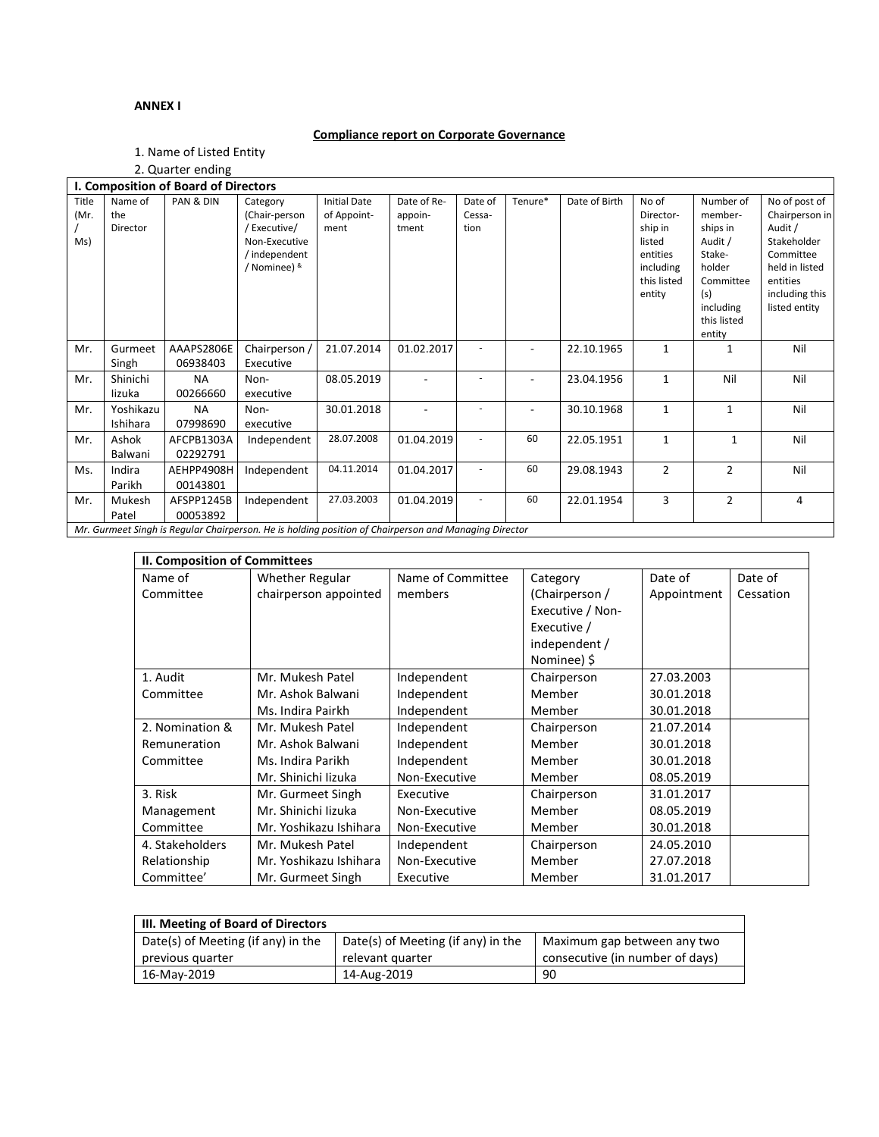## **ANNEX I**

# **Compliance report on Corporate Governance**

1. Name of Listed Entity 2. Quarter ending

|                      |                            | L. QUATION CHUING                    |                                                                                                       |                                            |                                 |                           |                |               |                                                                                           |                                                                                                                           |                                                                                                                                         |
|----------------------|----------------------------|--------------------------------------|-------------------------------------------------------------------------------------------------------|--------------------------------------------|---------------------------------|---------------------------|----------------|---------------|-------------------------------------------------------------------------------------------|---------------------------------------------------------------------------------------------------------------------------|-----------------------------------------------------------------------------------------------------------------------------------------|
|                      |                            | I. Composition of Board of Directors |                                                                                                       |                                            |                                 |                           |                |               |                                                                                           |                                                                                                                           |                                                                                                                                         |
| Title<br>(Mr.<br>Ms) | Name of<br>the<br>Director | PAN & DIN                            | Category<br>(Chair-person<br>/Executive/<br>Non-Executive<br>/ independent<br>/ Nominee) &            | <b>Initial Date</b><br>of Appoint-<br>ment | Date of Re-<br>appoin-<br>tment | Date of<br>Cessa-<br>tion | Tenure*        | Date of Birth | No of<br>Director-<br>ship in<br>listed<br>entities<br>including<br>this listed<br>entity | Number of<br>member-<br>ships in<br>Audit /<br>Stake-<br>holder<br>Committee<br>(s)<br>including<br>this listed<br>entity | No of post of<br>Chairperson in<br>Audit /<br>Stakeholder<br>Committee<br>held in listed<br>entities<br>including this<br>listed entity |
| Mr.                  | Gurmeet<br>Singh           | AAAPS2806E<br>06938403               | Chairperson /<br>Executive                                                                            | 21.07.2014                                 | 01.02.2017                      |                           | $\overline{a}$ | 22.10.1965    | 1                                                                                         | 1                                                                                                                         | Nil                                                                                                                                     |
| Mr.                  | Shinichi<br>lizuka         | <b>NA</b><br>00266660                | Non-<br>executive                                                                                     | 08.05.2019                                 |                                 |                           |                | 23.04.1956    | $\mathbf{1}$                                                                              | Nil                                                                                                                       | Nil                                                                                                                                     |
| Mr.                  | Yoshikazu<br>Ishihara      | <b>NA</b><br>07998690                | Non-<br>executive                                                                                     | 30.01.2018                                 |                                 |                           |                | 30.10.1968    | $\mathbf{1}$                                                                              | $\mathbf{1}$                                                                                                              | Nil                                                                                                                                     |
| Mr.                  | Ashok<br>Balwani           | AFCPB1303A<br>02292791               | Independent                                                                                           | 28.07.2008                                 | 01.04.2019                      |                           | 60             | 22.05.1951    | $\mathbf{1}$                                                                              | $\mathbf{1}$                                                                                                              | Nil                                                                                                                                     |
| Ms.                  | Indira<br>Parikh           | AEHPP4908H<br>00143801               | Independent                                                                                           | 04.11.2014                                 | 01.04.2017                      |                           | 60             | 29.08.1943    | $\overline{2}$                                                                            | 2                                                                                                                         | Nil                                                                                                                                     |
| Mr.                  | Mukesh<br>Patel            | AFSPP1245B<br>00053892               | Independent                                                                                           | 27.03.2003                                 | 01.04.2019                      |                           | 60             | 22.01.1954    | 3                                                                                         | $\overline{2}$                                                                                                            | 4                                                                                                                                       |
|                      |                            |                                      | Mr. Gurmeet Singh is Regular Chairperson. He is holding position of Chairperson and Managing Director |                                            |                                 |                           |                |               |                                                                                           |                                                                                                                           |                                                                                                                                         |

| II. Composition of Committees |                        |                   |                  |             |           |  |  |
|-------------------------------|------------------------|-------------------|------------------|-------------|-----------|--|--|
| Name of                       | Whether Regular        | Name of Committee | Category         | Date of     | Date of   |  |  |
| Committee                     | chairperson appointed  | members           | (Chairperson /   | Appointment | Cessation |  |  |
|                               |                        |                   | Executive / Non- |             |           |  |  |
|                               |                        |                   | Executive /      |             |           |  |  |
|                               |                        |                   | independent /    |             |           |  |  |
|                               |                        |                   | Nominee) \$      |             |           |  |  |
| 1. Audit                      | Mr. Mukesh Patel       | Independent       | Chairperson      | 27.03.2003  |           |  |  |
| Committee                     | Mr. Ashok Balwani      | Independent       | Member           | 30.01.2018  |           |  |  |
|                               | Ms. Indira Pairkh      | Independent       | Member           | 30.01.2018  |           |  |  |
| 2. Nomination &               | Mr. Mukesh Patel       | Independent       | Chairperson      | 21.07.2014  |           |  |  |
| Remuneration                  | Mr. Ashok Balwani      | Independent       | Member           | 30.01.2018  |           |  |  |
| Committee                     | Ms. Indira Parikh      | Independent       | Member           | 30.01.2018  |           |  |  |
|                               | Mr. Shinichi lizuka    | Non-Executive     | Member           | 08.05.2019  |           |  |  |
| 3. Risk                       | Mr. Gurmeet Singh      | Executive         | Chairperson      | 31.01.2017  |           |  |  |
| Management                    | Mr. Shinichi lizuka    | Non-Executive     | Member           | 08.05.2019  |           |  |  |
| Committee                     | Mr. Yoshikazu Ishihara | Non-Executive     | Member           | 30.01.2018  |           |  |  |
| 4. Stakeholders               | Mr. Mukesh Patel       | Independent       | Chairperson      | 24.05.2010  |           |  |  |
| Relationship                  | Mr. Yoshikazu Ishihara | Non-Executive     | Member           | 27.07.2018  |           |  |  |
| Committee'                    | Mr. Gurmeet Singh      | Executive         | Member           | 31.01.2017  |           |  |  |

| III. Meeting of Board of Directors |                                    |                                 |  |  |  |
|------------------------------------|------------------------------------|---------------------------------|--|--|--|
| Date(s) of Meeting (if any) in the | Date(s) of Meeting (if any) in the | Maximum gap between any two     |  |  |  |
| previous quarter                   | relevant quarter                   | consecutive (in number of days) |  |  |  |
| 16-May-2019                        | 14-Aug-2019                        | 90                              |  |  |  |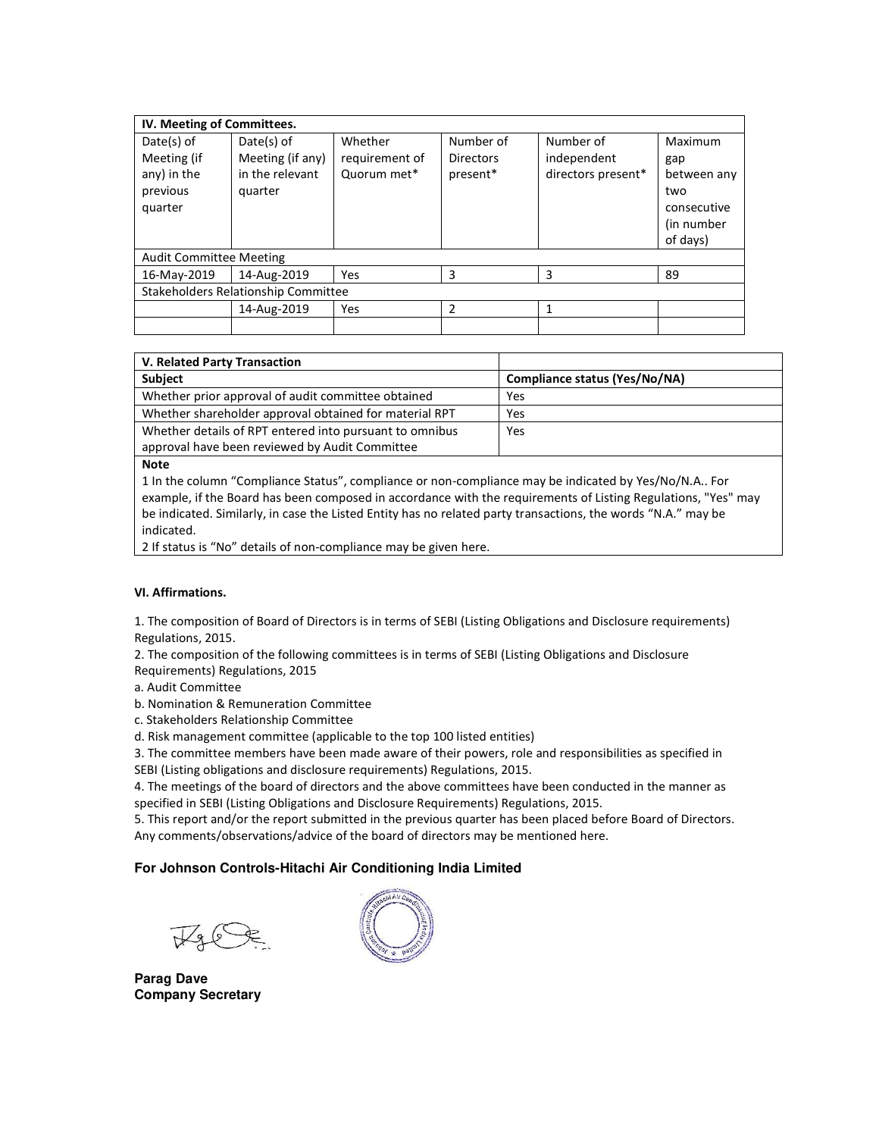| IV. Meeting of Committees.          |                  |                |                  |                    |             |  |
|-------------------------------------|------------------|----------------|------------------|--------------------|-------------|--|
| $Date(s)$ of<br>$Date(s)$ of        |                  | Whether        | Number of        | Number of          | Maximum     |  |
| Meeting (if                         | Meeting (if any) | requirement of | <b>Directors</b> | independent        | gap         |  |
| any) in the                         | in the relevant  |                | present*         | directors present* | between any |  |
| previous                            | quarter          |                |                  |                    | two         |  |
| quarter                             |                  |                |                  |                    | consecutive |  |
|                                     |                  |                |                  |                    | (in number  |  |
|                                     |                  |                |                  |                    | of days)    |  |
| <b>Audit Committee Meeting</b>      |                  |                |                  |                    |             |  |
| 16-May-2019                         | 14-Aug-2019      | Yes            | 3                | 3                  | 89          |  |
| Stakeholders Relationship Committee |                  |                |                  |                    |             |  |
|                                     | 14-Aug-2019      | Yes            | $\mathfrak z$    | 1                  |             |  |
|                                     |                  |                |                  |                    |             |  |

| V. Related Party Transaction                            |                               |
|---------------------------------------------------------|-------------------------------|
| <b>Subject</b>                                          | Compliance status (Yes/No/NA) |
| Whether prior approval of audit committee obtained      | Yes                           |
| Whether shareholder approval obtained for material RPT  | Yes                           |
| Whether details of RPT entered into pursuant to omnibus | Yes                           |
| approval have been reviewed by Audit Committee          |                               |

**Note** 

1 In the column "Compliance Status", compliance or non-compliance may be indicated by Yes/No/N.A.. For example, if the Board has been composed in accordance with the requirements of Listing Regulations, "Yes" may be indicated. Similarly, in case the Listed Entity has no related party transactions, the words "N.A." may be indicated.

2 If status is "No" details of non-compliance may be given here.

### **VI. Affirmations.**

1. The composition of Board of Directors is in terms of SEBI (Listing Obligations and Disclosure requirements) Regulations, 2015.

2. The composition of the following committees is in terms of SEBI (Listing Obligations and Disclosure Requirements) Regulations, 2015

a. Audit Committee

b. Nomination & Remuneration Committee

c. Stakeholders Relationship Committee

d. Risk management committee (applicable to the top 100 listed entities)

3. The committee members have been made aware of their powers, role and responsibilities as specified in SEBI (Listing obligations and disclosure requirements) Regulations, 2015.

4. The meetings of the board of directors and the above committees have been conducted in the manner as specified in SEBI (Listing Obligations and Disclosure Requirements) Regulations, 2015.

5. This report and/or the report submitted in the previous quarter has been placed before Board of Directors. Any comments/observations/advice of the board of directors may be mentioned here.

#### **For Johnson Controls-Hitachi Air Conditioning India Limited**

**Parag Dave Company Secretary**